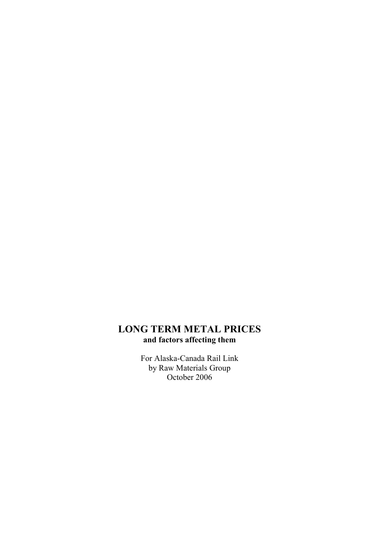## LONG TERM METAL PRICES and factors affecting them

For Alaska-Canada Rail Link by Raw Materials Group October 2006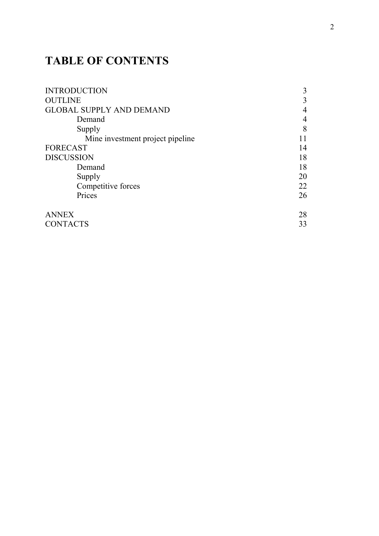## TABLE OF CONTENTS

| <b>INTRODUCTION</b>              | 3  |
|----------------------------------|----|
| <b>OUTLINE</b>                   | 3  |
| <b>GLOBAL SUPPLY AND DEMAND</b>  | 4  |
| Demand                           | 4  |
| Supply                           | 8  |
| Mine investment project pipeline |    |
| <b>FORECAST</b>                  | 14 |
| <b>DISCUSSION</b>                | 18 |
| Demand                           | 18 |
| Supply                           | 20 |
| Competitive forces               | 22 |
| Prices                           | 26 |
| <b>ANNEX</b>                     | 28 |
| <b>CONTACTS</b>                  | 33 |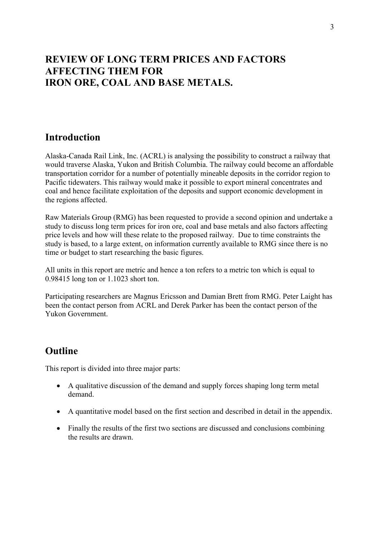## REVIEW OF LONG TERM PRICES AND FACTORS AFFECTING THEM FOR IRON ORE, COAL AND BASE METALS.

## **Introduction**

Alaska-Canada Rail Link, Inc. (ACRL) is analysing the possibility to construct a railway that would traverse Alaska, Yukon and British Columbia. The railway could become an affordable transportation corridor for a number of potentially mineable deposits in the corridor region to Pacific tidewaters. This railway would make it possible to export mineral concentrates and coal and hence facilitate exploitation of the deposits and support economic development in the regions affected.

Raw Materials Group (RMG) has been requested to provide a second opinion and undertake a study to discuss long term prices for iron ore, coal and base metals and also factors affecting price levels and how will these relate to the proposed railway. Due to time constraints the study is based, to a large extent, on information currently available to RMG since there is no time or budget to start researching the basic figures.

All units in this report are metric and hence a ton refers to a metric ton which is equal to 0.98415 long ton or 1.1023 short ton.

Participating researchers are Magnus Ericsson and Damian Brett from RMG. Peter Laight has been the contact person from ACRL and Derek Parker has been the contact person of the Yukon Government.

## **Outline**

This report is divided into three major parts:

- A qualitative discussion of the demand and supply forces shaping long term metal demand.
- A quantitative model based on the first section and described in detail in the appendix.
- Finally the results of the first two sections are discussed and conclusions combining the results are drawn.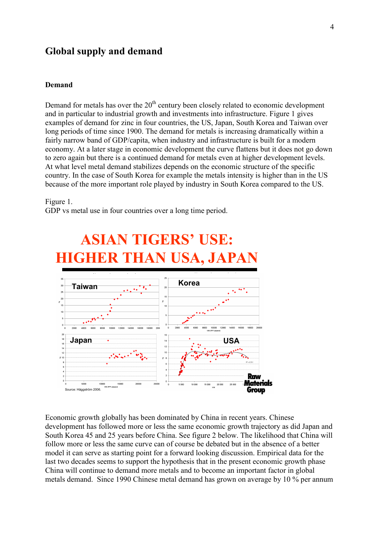## Global supply and demand

#### Demand

Demand for metals has over the  $20<sup>th</sup>$  century been closely related to economic development and in particular to industrial growth and investments into infrastructure. Figure 1 gives examples of demand for zinc in four countries, the US, Japan, South Korea and Taiwan over long periods of time since 1900. The demand for metals is increasing dramatically within a fairly narrow band of GDP/capita, when industry and infrastructure is built for a modern economy. At a later stage in economic development the curve flattens but it does not go down to zero again but there is a continued demand for metals even at higher development levels. At what level metal demand stabilizes depends on the economic structure of the specific country. In the case of South Korea for example the metals intensity is higher than in the US because of the more important role played by industry in South Korea compared to the US.

#### Figure 1.

GDP vs metal use in four countries over a long time period.



ASIAN TIGERS' USE:

Economic growth globally has been dominated by China in recent years. Chinese development has followed more or less the same economic growth trajectory as did Japan and South Korea 45 and 25 years before China. See figure 2 below. The likelihood that China will follow more or less the same curve can of course be debated but in the absence of a better model it can serve as starting point for a forward looking discussion. Empirical data for the last two decades seems to support the hypothesis that in the present economic growth phase China will continue to demand more metals and to become an important factor in global metals demand. Since 1990 Chinese metal demand has grown on average by 10 % per annum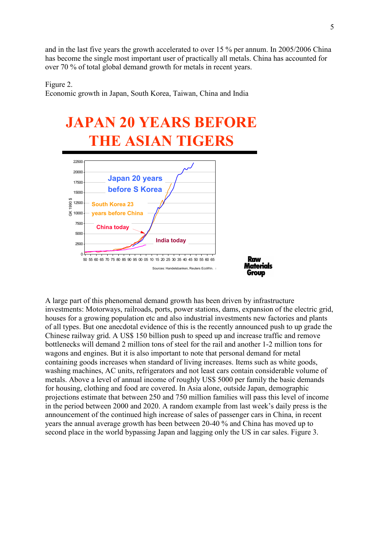and in the last five years the growth accelerated to over 15 % per annum. In 2005/2006 China has become the single most important user of practically all metals. China has accounted for over 70 % of total global demand growth for metals in recent years.

Figure 2.

Economic growth in Japan, South Korea, Taiwan, China and India



A large part of this phenomenal demand growth has been driven by infrastructure investments: Motorways, railroads, ports, power stations, dams, expansion of the electric grid, houses for a growing population etc and also industrial investments new factories and plants of all types. But one anecdotal evidence of this is the recently announced push to up grade the Chinese railway grid. A US\$ 150 billion push to speed up and increase traffic and remove bottlenecks will demand 2 million tons of steel for the rail and another 1-2 million tons for wagons and engines. But it is also important to note that personal demand for metal containing goods increases when standard of living increases. Items such as white goods, washing machines, AC units, refrigerators and not least cars contain considerable volume of metals. Above a level of annual income of roughly US\$ 5000 per family the basic demands for housing, clothing and food are covered. In Asia alone, outside Japan, demographic projections estimate that between 250 and 750 million families will pass this level of income in the period between 2000 and 2020. A random example from last week's daily press is the announcement of the continued high increase of sales of passenger cars in China, in recent years the annual average growth has been between 20-40 % and China has moved up to second place in the world bypassing Japan and lagging only the US in car sales. Figure 3.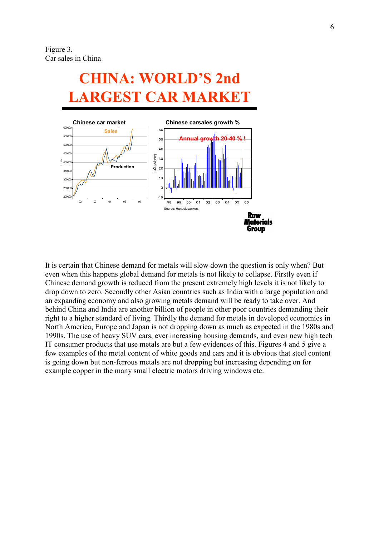Figure 3. Car sales in China

# CHINA: WORLD'S 2nd LARGEST CAR MARKET



It is certain that Chinese demand for metals will slow down the question is only when? But even when this happens global demand for metals is not likely to collapse. Firstly even if Chinese demand growth is reduced from the present extremely high levels it is not likely to drop down to zero. Secondly other Asian countries such as India with a large population and an expanding economy and also growing metals demand will be ready to take over. And behind China and India are another billion of people in other poor countries demanding their right to a higher standard of living. Thirdly the demand for metals in developed economies in North America, Europe and Japan is not dropping down as much as expected in the 1980s and 1990s. The use of heavy SUV cars, ever increasing housing demands, and even new high tech IT consumer products that use metals are but a few evidences of this. Figures 4 and 5 give a few examples of the metal content of white goods and cars and it is obvious that steel content is going down but non-ferrous metals are not dropping but increasing depending on for example copper in the many small electric motors driving windows etc.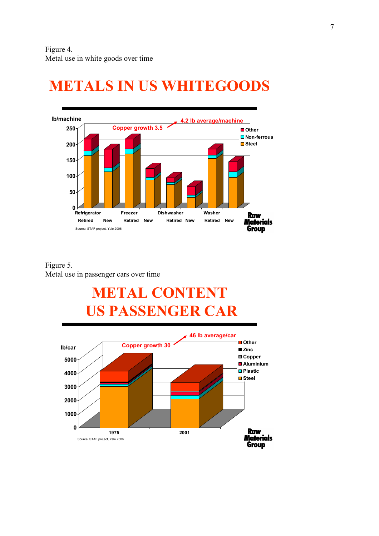

# METALS IN US WHITEGOODS

## Figure 5. Metal use in passenger cars over time

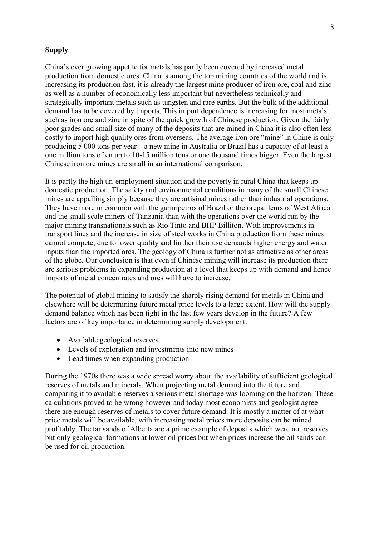### **Supply**

China's ever growing appetite for metals has partly been covered by increased metal production from domestic ores. China is among the top mining countries of the world and is increasing its production fast, it is already the largest mine producer of iron ore, coal and zinc as well as a number of economically less important but nevertheless technically and strategically important metals such as tungsten and rare earths. But the bulk of the additional demand has to be covered by imports. This import dependence is increasing for most metals such as iron ore and zinc in spite of the quick growth of Chinese production. Given the fairly poor grades and small size of many of the deposits that are mined in China it is also often less costly to import high quality ores from overseas. The average iron ore "mine" in Chine is only producing 5 000 tons per year – a new mine in Australia or Brazil has a capacity of at least a one million tons often up to 10-15 million tons or one thousand times bigger. Even the largest Chinese iron ore mines are small in an international comparison.

It is partly the high un-employment situation and the poverty in rural China that keeps up domestic production. The safety and environmental conditions in many of the small Chinese mines are appalling simply because they are artisinal mines rather than industrial operations. They have more in common with the garimpeiros of Brazil or the orepailleurs of West Africa and the small scale miners of Tanzania than with the operations over the world run by the major mining transnationals such as Rio Tinto and BHP Billiton. With improvements in transport lines and the increase in size of steel works in China production from these mines cannot compete, due to lower quality and further their use demands higher energy and water inputs than the imported ores. The geology of China is further not as attractive as other areas of the globe. Our conclusion is that even if Chinese mining will increase its production there are serious problems in expanding production at a level that keeps up with demand and hence imports of metal concentrates and ores will have to increase.

The potential of global mining to satisfy the sharply rising demand for metals in China and elsewhere will be determining future metal price levels to a large extent. How will the supply demand balance which has been tight in the last few years develop in the future? A few factors are of key importance in determining supply development:

- Available geological reserves
- Levels of exploration and investments into new mines
- Lead times when expanding production

During the 1970s there was a wide spread worry about the availability of sufficient geological reserves of metals and minerals. When projecting metal demand into the future and comparing it to available reserves a serious metal shortage was looming on the horizon. These calculations proved to be wrong however and today most economists and geologist agree there are enough reserves of metals to cover future demand. It is mostly a matter of at what price metals will be available, with increasing metal prices more deposits can be mined profitably. The tar sands of Alberta are a prime example of deposits which were not reserves but only geological formations at lower oil prices but when prices increase the oil sands can be used for oil production.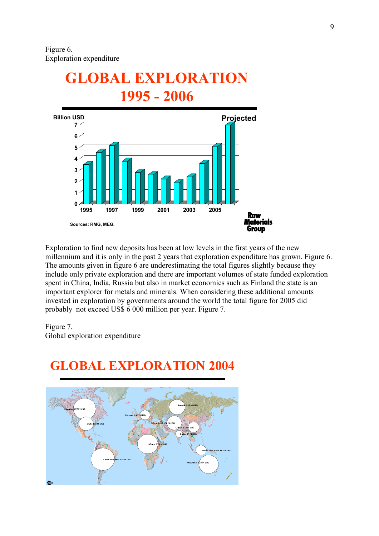# GLOBAL EXPLORATION 1995 - 2006



Exploration to find new deposits has been at low levels in the first years of the new millennium and it is only in the past 2 years that exploration expenditure has grown. Figure 6. The amounts given in figure 6 are underestimating the total figures slightly because they include only private exploration and there are important volumes of state funded exploration spent in China, India, Russia but also in market economies such as Finland the state is an important explorer for metals and minerals. When considering these additional amounts invested in exploration by governments around the world the total figure for 2005 did probably not exceed US\$ 6 000 million per year. Figure 7.

### Figure 7.

Global exploration expenditure



## GLOBAL EXPLORATION 2004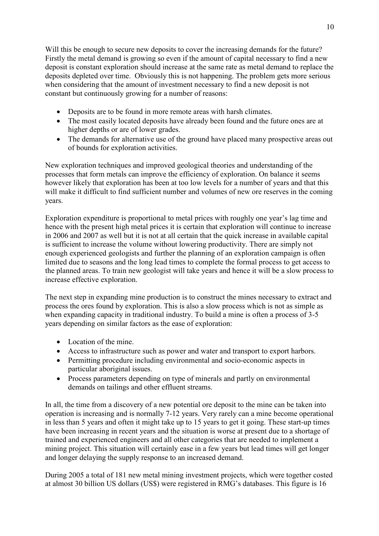Will this be enough to secure new deposits to cover the increasing demands for the future? Firstly the metal demand is growing so even if the amount of capital necessary to find a new deposit is constant exploration should increase at the same rate as metal demand to replace the deposits depleted over time. Obviously this is not happening. The problem gets more serious when considering that the amount of investment necessary to find a new deposit is not constant but continuously growing for a number of reasons:

- Deposits are to be found in more remote areas with harsh climates.
- The most easily located deposits have already been found and the future ones are at higher depths or are of lower grades.
- The demands for alternative use of the ground have placed many prospective areas out of bounds for exploration activities.

New exploration techniques and improved geological theories and understanding of the processes that form metals can improve the efficiency of exploration. On balance it seems however likely that exploration has been at too low levels for a number of years and that this will make it difficult to find sufficient number and volumes of new ore reserves in the coming years.

Exploration expenditure is proportional to metal prices with roughly one year's lag time and hence with the present high metal prices it is certain that exploration will continue to increase in 2006 and 2007 as well but it is not at all certain that the quick increase in available capital is sufficient to increase the volume without lowering productivity. There are simply not enough experienced geologists and further the planning of an exploration campaign is often limited due to seasons and the long lead times to complete the formal process to get access to the planned areas. To train new geologist will take years and hence it will be a slow process to increase effective exploration.

The next step in expanding mine production is to construct the mines necessary to extract and process the ores found by exploration. This is also a slow process which is not as simple as when expanding capacity in traditional industry. To build a mine is often a process of 3-5 years depending on similar factors as the ease of exploration:

- Location of the mine.
- Access to infrastructure such as power and water and transport to export harbors.
- Permitting procedure including environmental and socio-economic aspects in particular aboriginal issues.
- Process parameters depending on type of minerals and partly on environmental demands on tailings and other effluent streams.

In all, the time from a discovery of a new potential ore deposit to the mine can be taken into operation is increasing and is normally 7-12 years. Very rarely can a mine become operational in less than 5 years and often it might take up to 15 years to get it going. These start-up times have been increasing in recent years and the situation is worse at present due to a shortage of trained and experienced engineers and all other categories that are needed to implement a mining project. This situation will certainly ease in a few years but lead times will get longer and longer delaying the supply response to an increased demand.

During 2005 a total of 181 new metal mining investment projects, which were together costed at almost 30 billion US dollars (US\$) were registered in RMG's databases. This figure is 16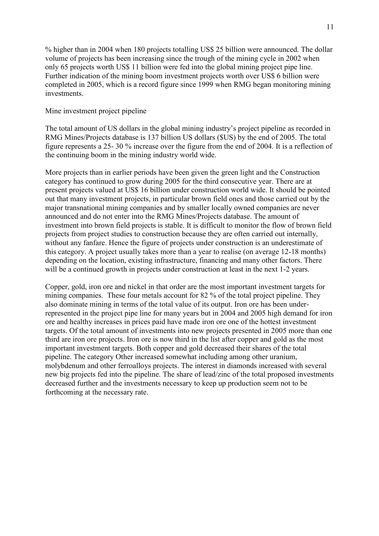% higher than in 2004 when 180 projects totalling US\$ 25 billion were announced. The dollar volume of projects has been increasing since the trough of the mining cycle in 2002 when only 65 projects worth US\$ 11 billion were fed into the global mining project pipe line. Further indication of the mining boom investment projects worth over US\$ 6 billion were completed in 2005, which is a record figure since 1999 when RMG began monitoring mining investments.

### Mine investment project pipeline

The total amount of US dollars in the global mining industry's project pipeline as recorded in RMG Mines/Projects database is 137 billion US dollars (\$US) by the end of 2005. The total figure represents a 25- 30 % increase over the figure from the end of 2004. It is a reflection of the continuing boom in the mining industry world wide.

More projects than in earlier periods have been given the green light and the Construction category has continued to grow during 2005 for the third consecutive year. There are at present projects valued at US\$ 16 billion under construction world wide. It should be pointed out that many investment projects, in particular brown field ones and those carried out by the major transnational mining companies and by smaller locally owned companies are never announced and do not enter into the RMG Mines/Projects database. The amount of investment into brown field projects is stable. It is difficult to monitor the flow of brown field projects from project studies to construction because they are often carried out internally, without any fanfare. Hence the figure of projects under construction is an underestimate of this category. A project usually takes more than a year to realise (on average 12-18 months) depending on the location, existing infrastructure, financing and many other factors. There will be a continued growth in projects under construction at least in the next 1-2 years.

Copper, gold, iron ore and nickel in that order are the most important investment targets for mining companies. These four metals account for 82 % of the total project pipeline. They also dominate mining in terms of the total value of its output. Iron ore has been underrepresented in the project pipe line for many years but in 2004 and 2005 high demand for iron ore and healthy increases in prices paid have made iron ore one of the hottest investment targets. Of the total amount of investments into new projects presented in 2005 more than one third are iron ore projects. Iron ore is now third in the list after copper and gold as the most important investment targets. Both copper and gold decreased their shares of the total pipeline. The category Other increased somewhat including among other uranium, molybdenum and other ferroalloys projects. The interest in diamonds increased with several new big projects fed into the pipeline. The share of lead/zinc of the total proposed investments decreased further and the investments necessary to keep up production seem not to be forthcoming at the necessary rate.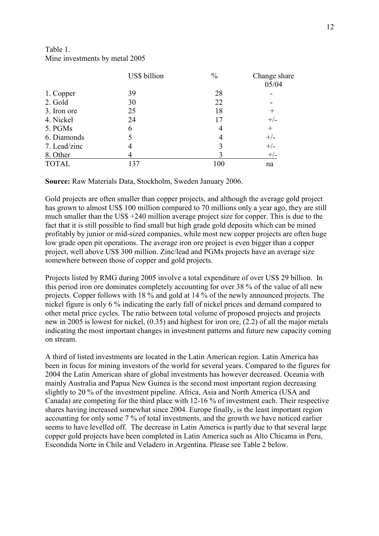## Table 1. Mine investments by metal 2005

|              | US\$ billion | $\frac{0}{0}$  | Change share<br>05/04 |
|--------------|--------------|----------------|-----------------------|
| 1. Copper    | 39           | 28             |                       |
| 2. Gold      | 30           | 22             |                       |
| 3. Iron ore  | 25           | 18             | $^{+}$                |
| 4. Nickel    | 24           | 17             | $+/-$                 |
| 5. PGMs      | 6            | 4              | $^{+}$                |
| 6. Diamonds  |              | $\overline{4}$ | $+/-$                 |
| 7. Lead/zinc |              | 3              | $+/-$                 |
| 8. Other     |              |                | $+/-$                 |
| <b>TOTAL</b> | 137          | 100            | na                    |

Source: Raw Materials Data, Stockholm, Sweden January 2006.

Gold projects are often smaller than copper projects, and although the average gold project has grown to almost US\$ 100 million compared to 70 millions only a year ago, they are still much smaller than the US\$ +240 million average project size for copper. This is due to the fact that it is still possible to find small but high grade gold deposits which can be mined profitably by junior or mid-sized companies, while most new copper projects are often huge low grade open pit operations. The average iron ore project is even bigger than a copper project, well above US\$ 300 million. Zinc/lead and PGMs projects have an average size somewhere between those of copper and gold projects.

Projects listed by RMG during 2005 involve a total expenditure of over US\$ 29 billion. In this period iron ore dominates completely accounting for over 38 % of the value of all new projects. Copper follows with 18 % and gold at 14 % of the newly announced projects. The nickel figure is only 6 % indicating the early fall of nickel prices and demand compared to other metal price cycles. The ratio between total volume of proposed projects and projects new in 2005 is lowest for nickel, (0.35) and highest for iron ore, (2.2) of all the major metals indicating the most important changes in investment patterns and future new capacity coming on stream.

A third of listed investments are located in the Latin American region. Latin America has been in focus for mining investors of the world for several years. Compared to the figures for 2004 the Latin American share of global investments has however decreased. Oceania with mainly Australia and Papua New Guinea is the second most important region decreasing slightly to 20 % of the investment pipeline. Africa, Asia and North America (USA and Canada) are competing for the third place with 12-16 % of investment each. Their respective shares having increased somewhat since 2004. Europe finally, is the least important region accounting for only some 7 % of total investments, and the growth we have noticed earlier seems to have levelled off. The decrease in Latin America is partly due to that several large copper gold projects have been completed in Latin America such as Alto Chicama in Peru, Escondida Norte in Chile and Veladero in Argentina. Please see Table 2 below.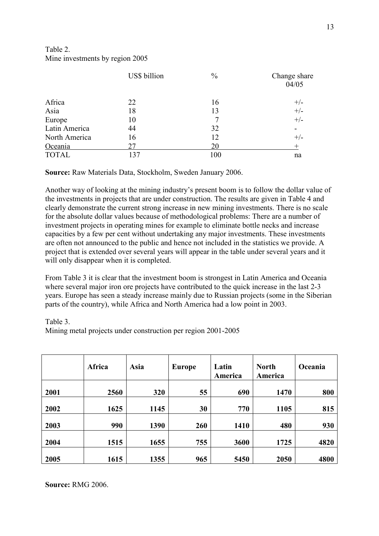## Table 2. Mine investments by region 2005

|               | US\$ billion | $\frac{0}{0}$ | Change share<br>04/05 |
|---------------|--------------|---------------|-----------------------|
| Africa        | 22           | 16            |                       |
| Asia          | 18           | 13            | $+/-$<br>+/-          |
| Europe        | 10           | 7             | $+/-$                 |
| Latin America | 44           | 32            | $\blacksquare$        |
| North America | 16           | 12            | $+/-$                 |
| Oceania       | 27           | 20            | $^{+}$                |
| <b>TOTAL</b>  | 137          | 100           | na                    |

Source: Raw Materials Data, Stockholm, Sweden January 2006.

Another way of looking at the mining industry's present boom is to follow the dollar value of the investments in projects that are under construction. The results are given in Table 4 and clearly demonstrate the current strong increase in new mining investments. There is no scale for the absolute dollar values because of methodological problems: There are a number of investment projects in operating mines for example to eliminate bottle necks and increase capacities by a few per cent without undertaking any major investments. These investments are often not announced to the public and hence not included in the statistics we provide. A project that is extended over several years will appear in the table under several years and it will only disappear when it is completed.

From Table 3 it is clear that the investment boom is strongest in Latin America and Oceania where several major iron ore projects have contributed to the quick increase in the last 2-3 years. Europe has seen a steady increase mainly due to Russian projects (some in the Siberian parts of the country), while Africa and North America had a low point in 2003.

### Table 3.

Mining metal projects under construction per region 2001-2005

|      | Africa | <b>Asia</b> | <b>Europe</b> | Latin<br>America | <b>North</b><br>America | Oceania |
|------|--------|-------------|---------------|------------------|-------------------------|---------|
| 2001 | 2560   | 320         | 55            | 690              | 1470                    | 800     |
| 2002 | 1625   | 1145        | 30            | 770              | 1105                    | 815     |
| 2003 | 990    | 1390        | 260           | 1410             | 480                     | 930     |
| 2004 | 1515   | 1655        | 755           | 3600             | 1725                    | 4820    |
| 2005 | 1615   | 1355        | 965           | 5450             | 2050                    | 4800    |

Source: RMG 2006.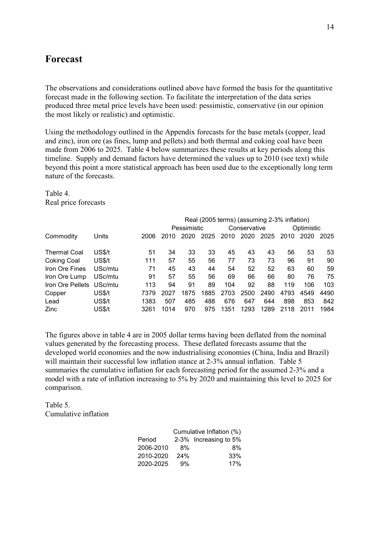## Forecast

The observations and considerations outlined above have formed the basis for the quantitative forecast made in the following section. To facilitate the interpretation of the data series produced three metal price levels have been used: pessimistic, conservative (in our opinion the most likely or realistic) and optimistic.

Using the methodology outlined in the Appendix forecasts for the base metals (copper, lead and zinc), iron ore (as fines, lump and pellets) and both thermal and coking coal have been made from 2006 to 2025. Table 4 below summarizes these results at key periods along this timeline. Supply and demand factors have determined the values up to 2010 (see text) while beyond this point a more statistical approach has been used due to the exceptionally long term nature of the forecasts.

Table 4. Real price forecasts

|                     |         |      | Real (2005 terms) (assuming 2-3% inflation) |             |      |      |              |      |      |            |      |
|---------------------|---------|------|---------------------------------------------|-------------|------|------|--------------|------|------|------------|------|
|                     |         |      |                                             | Pessimistic |      |      | Conservative |      |      | Optimistic |      |
| Commodity           | Units   | 2006 | 2010                                        | 2020        | 2025 | 2010 | 2020         | 2025 | 2010 | 2020       | 2025 |
|                     |         |      |                                             |             |      |      |              |      |      |            |      |
| <b>Thermal Coal</b> | US\$/t  | 51   | 34                                          | 33          | 33   | 45   | 43           | 43   | 56   | 53         | 53   |
| <b>Coking Coal</b>  | US\$/t  | 111  | 57                                          | 55          | 56   | 77   | 73           | 73   | 96   | 91         | 90   |
| Iron Ore Fines      | USc/mtu | 71   | 45                                          | 43          | 44   | 54   | 52           | 52   | 63   | 60         | 59   |
| Iron Ore Lump       | USc/mtu | 91   | 57                                          | 55          | 56   | 69   | 66           | 66   | 80   | 76         | 75   |
| Iron Ore Pellets    | USc/mtu | 113  | 94                                          | 91          | 89   | 104  | 92           | 88   | 119  | 106        | 103  |
| Copper              | US\$/t  | 7379 | 2027                                        | 1875        | 1885 | 2703 | 2500         | 2490 | 4793 | 4549       | 4490 |
| Lead                | US\$/t  | 1383 | 507                                         | 485         | 488  | 676  | 647          | 644  | 898  | 853        | 842  |
| <b>Zinc</b>         | US\$/t  | 3261 | 1014                                        | 970         | 975  | 1351 | 1293         | 1289 | 2118 | 2011       | 1984 |

The figures above in table 4 are in 2005 dollar terms having been deflated from the nominal values generated by the forecasting process. These deflated forecasts assume that the developed world economies and the now industrialising economies (China, India and Brazil) will maintain their successful low inflation stance at 2-3% annual inflation. Table 5 summaries the cumulative inflation for each forecasting period for the assumed 2-3% and a model with a rate of inflation increasing to 5% by 2020 and maintaining this level to 2025 for comparison.

Table 5. Cumulative inflation

|           |     | Cumulative Inflation (%) |
|-----------|-----|--------------------------|
| Period    |     | 2-3% Increasing to 5%    |
| 2006-2010 | 8%  | 8%                       |
| 2010-2020 | 24% | 33%                      |
| 2020-2025 | 9%  | 17%                      |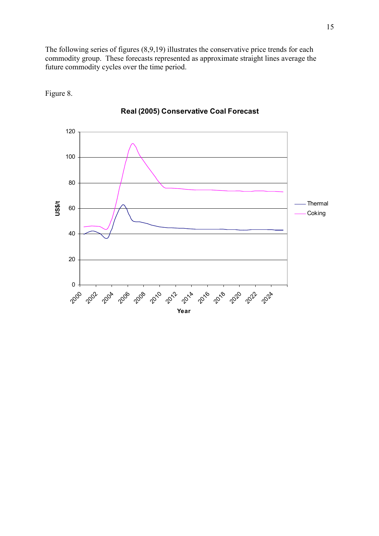The following series of figures (8,9,19) illustrates the conservative price trends for each commodity group. These forecasts represented as approximate straight lines average the future commodity cycles over the time period.

Figure 8.



## Real (2005) Conservative Coal Forecast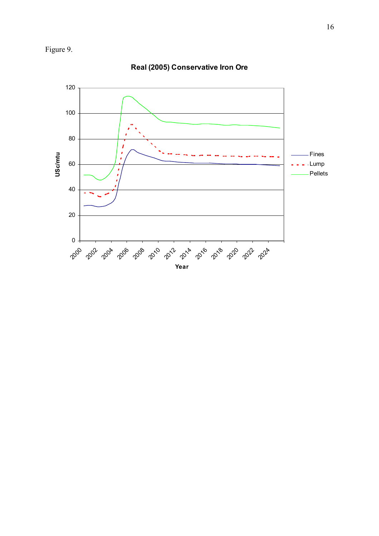



Real (2005) Conservative Iron Ore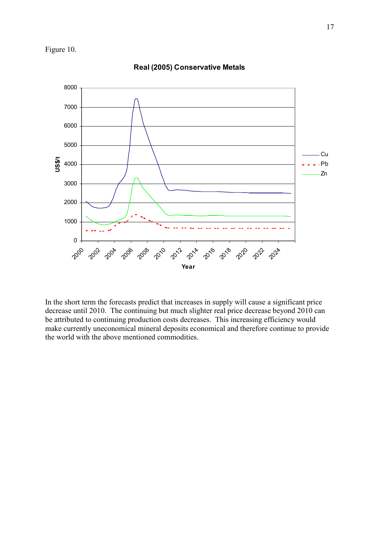Figure 10.



Real (2005) Conservative Metals

In the short term the forecasts predict that increases in supply will cause a significant price decrease until 2010. The continuing but much slighter real price decrease beyond 2010 can be attributed to continuing production costs decreases. This increasing efficiency would make currently uneconomical mineral deposits economical and therefore continue to provide the world with the above mentioned commodities.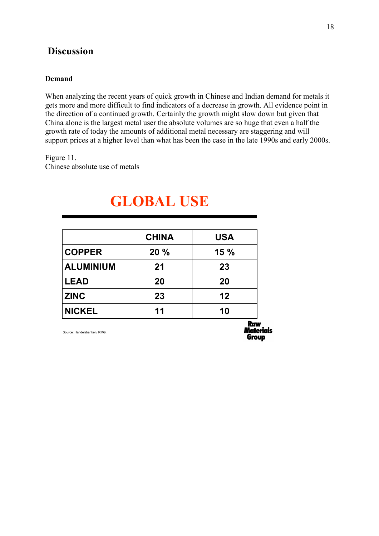## **Discussion**

### Demand

When analyzing the recent years of quick growth in Chinese and Indian demand for metals it gets more and more difficult to find indicators of a decrease in growth. All evidence point in the direction of a continued growth. Certainly the growth might slow down but given that China alone is the largest metal user the absolute volumes are so huge that even a half the growth rate of today the amounts of additional metal necessary are staggering and will support prices at a higher level than what has been the case in the late 1990s and early 2000s.

Figure 11.

Chinese absolute use of metals

|                  | <b>CHINA</b> | <b>USA</b> |
|------------------|--------------|------------|
| <b>COPPER</b>    | 20%          | 15%        |
| <b>ALUMINIUM</b> | 21           | 23         |
| <b>LEAD</b>      | 20           | 20         |
| <b>ZINC</b>      | 23           | 12         |
| <b>NICKEL</b>    | 11           | 10         |

## GLOBAL USE

Source: Handelsbanken, RMG.

**R**crw **Materials** Group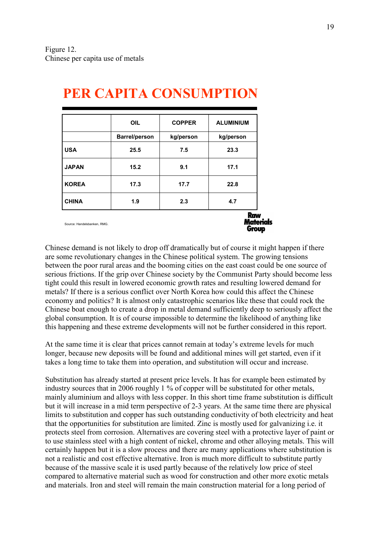|              | <b>OIL</b>           | <b>ALUMINIUM</b> |           |
|--------------|----------------------|------------------|-----------|
|              | <b>Barrel/person</b> | kg/person        | kg/person |
| <b>USA</b>   | 25.5                 | 7.5              | 23.3      |
| <b>JAPAN</b> | 15.2                 | 9.1              | 17.1      |
| <b>KOREA</b> | 17.3                 | 17.7             | 22.8      |
| <b>CHINA</b> | 1.9                  | 2.3              | 4.7       |

# PER CAPITA CONSUMPTION

Chinese demand is not likely to drop off dramatically but of course it might happen if there are some revolutionary changes in the Chinese political system. The growing tensions between the poor rural areas and the booming cities on the east coast could be one source of serious frictions. If the grip over Chinese society by the Communist Party should become less tight could this result in lowered economic growth rates and resulting lowered demand for metals? If there is a serious conflict over North Korea how could this affect the Chinese economy and politics? It is almost only catastrophic scenarios like these that could rock the Chinese boat enough to create a drop in metal demand sufficiently deep to seriously affect the global consumption. It is of course impossible to determine the likelihood of anything like this happening and these extreme developments will not be further considered in this report.

At the same time it is clear that prices cannot remain at today's extreme levels for much longer, because new deposits will be found and additional mines will get started, even if it takes a long time to take them into operation, and substitution will occur and increase.

Substitution has already started at present price levels. It has for example been estimated by industry sources that in 2006 roughly 1 % of copper will be substituted for other metals, mainly aluminium and alloys with less copper. In this short time frame substitution is difficult but it will increase in a mid term perspective of 2-3 years. At the same time there are physical limits to substitution and copper has such outstanding conductivity of both electricity and heat that the opportunities for substitution are limited. Zinc is mostly used for galvanizing i.e. it protects steel from corrosion. Alternatives are covering steel with a protective layer of paint or to use stainless steel with a high content of nickel, chrome and other alloying metals. This will certainly happen but it is a slow process and there are many applications where substitution is not a realistic and cost effective alternative. Iron is much more difficult to substitute partly because of the massive scale it is used partly because of the relatively low price of steel compared to alternative material such as wood for construction and other more exotic metals and materials. Iron and steel will remain the main construction material for a long period of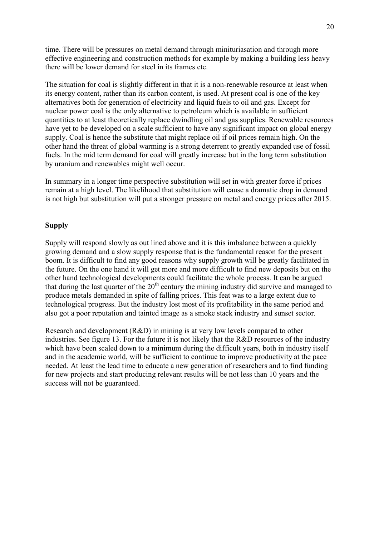time. There will be pressures on metal demand through minituriasation and through more effective engineering and construction methods for example by making a building less heavy there will be lower demand for steel in its frames etc.

The situation for coal is slightly different in that it is a non-renewable resource at least when its energy content, rather than its carbon content, is used. At present coal is one of the key alternatives both for generation of electricity and liquid fuels to oil and gas. Except for nuclear power coal is the only alternative to petroleum which is available in sufficient quantities to at least theoretically replace dwindling oil and gas supplies. Renewable resources have yet to be developed on a scale sufficient to have any significant impact on global energy supply. Coal is hence the substitute that might replace oil if oil prices remain high. On the other hand the threat of global warming is a strong deterrent to greatly expanded use of fossil fuels. In the mid term demand for coal will greatly increase but in the long term substitution by uranium and renewables might well occur.

In summary in a longer time perspective substitution will set in with greater force if prices remain at a high level. The likelihood that substitution will cause a dramatic drop in demand is not high but substitution will put a stronger pressure on metal and energy prices after 2015.

## Supply

Supply will respond slowly as out lined above and it is this imbalance between a quickly growing demand and a slow supply response that is the fundamental reason for the present boom. It is difficult to find any good reasons why supply growth will be greatly facilitated in the future. On the one hand it will get more and more difficult to find new deposits but on the other hand technological developments could facilitate the whole process. It can be argued that during the last quarter of the  $20<sup>th</sup>$  century the mining industry did survive and managed to produce metals demanded in spite of falling prices. This feat was to a large extent due to technological progress. But the industry lost most of its profitability in the same period and also got a poor reputation and tainted image as a smoke stack industry and sunset sector.

Research and development (R&D) in mining is at very low levels compared to other industries. See figure 13. For the future it is not likely that the R&D resources of the industry which have been scaled down to a minimum during the difficult years, both in industry itself and in the academic world, will be sufficient to continue to improve productivity at the pace needed. At least the lead time to educate a new generation of researchers and to find funding for new projects and start producing relevant results will be not less than 10 years and the success will not be guaranteed.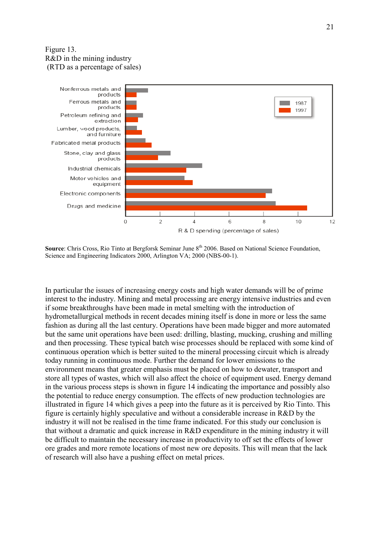## Figure 13. R&D in the mining industry (RTD as a percentage of sales)



Source: Chris Cross, Rio Tinto at Bergforsk Seminar June 8<sup>th</sup> 2006. Based on National Science Foundation, Science and Engineering Indicators 2000, Arlington VA; 2000 (NBS-00-1).

In particular the issues of increasing energy costs and high water demands will be of prime interest to the industry. Mining and metal processing are energy intensive industries and even if some breakthroughs have been made in metal smelting with the introduction of hydrometallurgical methods in recent decades mining itself is done in more or less the same fashion as during all the last century. Operations have been made bigger and more automated but the same unit operations have been used: drilling, blasting, mucking, crushing and milling and then processing. These typical batch wise processes should be replaced with some kind of continuous operation which is better suited to the mineral processing circuit which is already today running in continuous mode. Further the demand for lower emissions to the environment means that greater emphasis must be placed on how to dewater, transport and store all types of wastes, which will also affect the choice of equipment used. Energy demand in the various process steps is shown in figure 14 indicating the importance and possibly also the potential to reduce energy consumption. The effects of new production technologies are illustrated in figure 14 which gives a peep into the future as it is perceived by Rio Tinto. This figure is certainly highly speculative and without a considerable increase in R&D by the industry it will not be realised in the time frame indicated. For this study our conclusion is that without a dramatic and quick increase in R&D expenditure in the mining industry it will be difficult to maintain the necessary increase in productivity to off set the effects of lower ore grades and more remote locations of most new ore deposits. This will mean that the lack of research will also have a pushing effect on metal prices.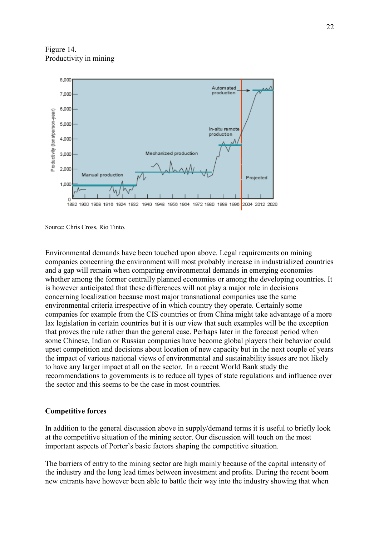Figure 14. Productivity in mining



Source: Chris Cross, Rio Tinto.

Environmental demands have been touched upon above. Legal requirements on mining companies concerning the environment will most probably increase in industrialized countries and a gap will remain when comparing environmental demands in emerging economies whether among the former centrally planned economies or among the developing countries. It is however anticipated that these differences will not play a major role in decisions concerning localization because most major transnational companies use the same environmental criteria irrespective of in which country they operate. Certainly some companies for example from the CIS countries or from China might take advantage of a more lax legislation in certain countries but it is our view that such examples will be the exception that proves the rule rather than the general case. Perhaps later in the forecast period when some Chinese, Indian or Russian companies have become global players their behavior could upset competition and decisions about location of new capacity but in the next couple of years the impact of various national views of environmental and sustainability issues are not likely to have any larger impact at all on the sector. In a recent World Bank study the recommendations to governments is to reduce all types of state regulations and influence over the sector and this seems to be the case in most countries.

### Competitive forces

In addition to the general discussion above in supply/demand terms it is useful to briefly look at the competitive situation of the mining sector. Our discussion will touch on the most important aspects of Porter's basic factors shaping the competitive situation.

The barriers of entry to the mining sector are high mainly because of the capital intensity of the industry and the long lead times between investment and profits. During the recent boom new entrants have however been able to battle their way into the industry showing that when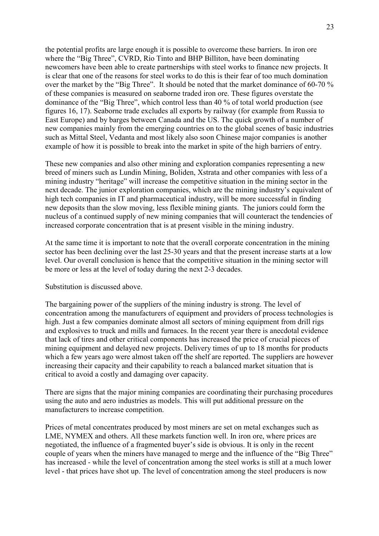the potential profits are large enough it is possible to overcome these barriers. In iron ore where the "Big Three", CVRD, Rio Tinto and BHP Billiton, have been dominating newcomers have been able to create partnerships with steel works to finance new projects. It is clear that one of the reasons for steel works to do this is their fear of too much domination over the market by the "Big Three". It should be noted that the market dominance of 60-70 % of these companies is measured on seaborne traded iron ore. These figures overstate the dominance of the "Big Three", which control less than 40 % of total world production (see figures 16, 17). Seaborne trade excludes all exports by railway (for example from Russia to East Europe) and by barges between Canada and the US. The quick growth of a number of new companies mainly from the emerging countries on to the global scenes of basic industries such as Mittal Steel, Vedanta and most likely also soon Chinese major companies is another example of how it is possible to break into the market in spite of the high barriers of entry.

These new companies and also other mining and exploration companies representing a new breed of miners such as Lundin Mining, Boliden, Xstrata and other companies with less of a mining industry "heritage" will increase the competitive situation in the mining sector in the next decade. The junior exploration companies, which are the mining industry's equivalent of high tech companies in IT and pharmaceutical industry, will be more successful in finding new deposits than the slow moving, less flexible mining giants. The juniors could form the nucleus of a continued supply of new mining companies that will counteract the tendencies of increased corporate concentration that is at present visible in the mining industry.

At the same time it is important to note that the overall corporate concentration in the mining sector has been declining over the last 25-30 years and that the present increase starts at a low level. Our overall conclusion is hence that the competitive situation in the mining sector will be more or less at the level of today during the next 2-3 decades.

#### Substitution is discussed above.

The bargaining power of the suppliers of the mining industry is strong. The level of concentration among the manufacturers of equipment and providers of process technologies is high. Just a few companies dominate almost all sectors of mining equipment from drill rigs and explosives to truck and mills and furnaces. In the recent year there is anecdotal evidence that lack of tires and other critical components has increased the price of crucial pieces of mining equipment and delayed new projects. Delivery times of up to 18 months for products which a few years ago were almost taken off the shelf are reported. The suppliers are however increasing their capacity and their capability to reach a balanced market situation that is critical to avoid a costly and damaging over capacity.

There are signs that the major mining companies are coordinating their purchasing procedures using the auto and aero industries as models. This will put additional pressure on the manufacturers to increase competition.

Prices of metal concentrates produced by most miners are set on metal exchanges such as LME, NYMEX and others. All these markets function well. In iron ore, where prices are negotiated, the influence of a fragmented buyer's side is obvious. It is only in the recent couple of years when the miners have managed to merge and the influence of the "Big Three" has increased - while the level of concentration among the steel works is still at a much lower level - that prices have shot up. The level of concentration among the steel producers is now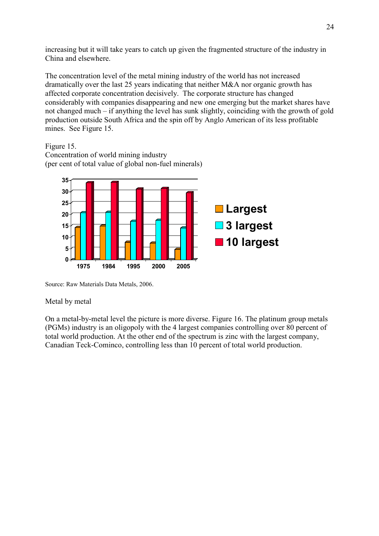increasing but it will take years to catch up given the fragmented structure of the industry in China and elsewhere.

The concentration level of the metal mining industry of the world has not increased dramatically over the last 25 years indicating that neither M&A nor organic growth has affected corporate concentration decisively. The corporate structure has changed considerably with companies disappearing and new one emerging but the market shares have not changed much – if anything the level has sunk slightly, coinciding with the growth of gold production outside South Africa and the spin off by Anglo American of its less profitable mines. See Figure 15.

Figure 15.

Concentration of world mining industry (per cent of total value of global non-fuel minerals)



Source: Raw Materials Data Metals, 2006.

## Metal by metal

On a metal-by-metal level the picture is more diverse. Figure 16. The platinum group metals (PGMs) industry is an oligopoly with the 4 largest companies controlling over 80 percent of total world production. At the other end of the spectrum is zinc with the largest company, Canadian Teck-Cominco, controlling less than 10 percent of total world production.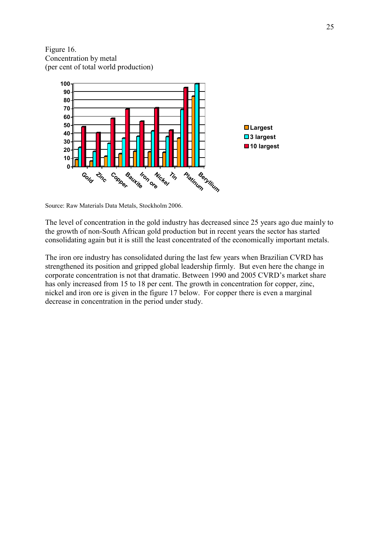Figure 16. Concentration by metal (per cent of total world production)



Source: Raw Materials Data Metals, Stockholm 2006.

The level of concentration in the gold industry has decreased since 25 years ago due mainly to the growth of non-South African gold production but in recent years the sector has started consolidating again but it is still the least concentrated of the economically important metals.

The iron ore industry has consolidated during the last few years when Brazilian CVRD has strengthened its position and gripped global leadership firmly. But even here the change in corporate concentration is not that dramatic. Between 1990 and 2005 CVRD's market share has only increased from 15 to 18 per cent. The growth in concentration for copper, zinc, nickel and iron ore is given in the figure 17 below. For copper there is even a marginal decrease in concentration in the period under study.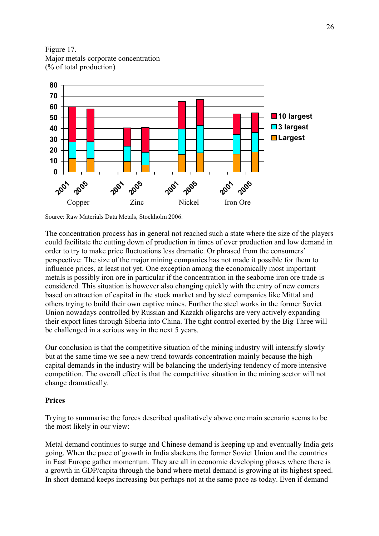Figure 17. Major metals corporate concentration (% of total production)



Source: Raw Materials Data Metals, Stockholm 2006.

The concentration process has in general not reached such a state where the size of the players could facilitate the cutting down of production in times of over production and low demand in order to try to make price fluctuations less dramatic. Or phrased from the consumers' perspective: The size of the major mining companies has not made it possible for them to influence prices, at least not yet. One exception among the economically most important metals is possibly iron ore in particular if the concentration in the seaborne iron ore trade is considered. This situation is however also changing quickly with the entry of new comers based on attraction of capital in the stock market and by steel companies like Mittal and others trying to build their own captive mines. Further the steel works in the former Soviet Union nowadays controlled by Russian and Kazakh oligarchs are very actively expanding their export lines through Siberia into China. The tight control exerted by the Big Three will be challenged in a serious way in the next 5 years.

Our conclusion is that the competitive situation of the mining industry will intensify slowly but at the same time we see a new trend towards concentration mainly because the high capital demands in the industry will be balancing the underlying tendency of more intensive competition. The overall effect is that the competitive situation in the mining sector will not change dramatically.

### Prices

Trying to summarise the forces described qualitatively above one main scenario seems to be the most likely in our view:

Metal demand continues to surge and Chinese demand is keeping up and eventually India gets going. When the pace of growth in India slackens the former Soviet Union and the countries in East Europe gather momentum. They are all in economic developing phases where there is a growth in GDP/capita through the band where metal demand is growing at its highest speed. In short demand keeps increasing but perhaps not at the same pace as today. Even if demand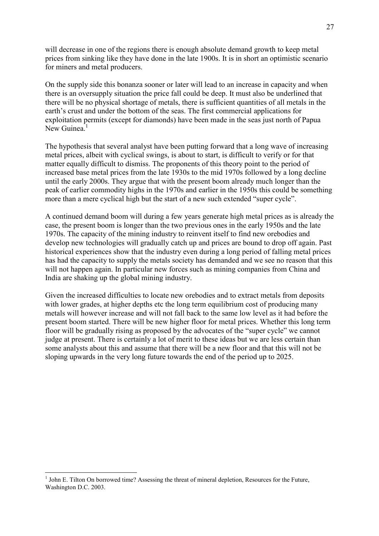will decrease in one of the regions there is enough absolute demand growth to keep metal prices from sinking like they have done in the late 1900s. It is in short an optimistic scenario for miners and metal producers.

On the supply side this bonanza sooner or later will lead to an increase in capacity and when there is an oversupply situation the price fall could be deep. It must also be underlined that there will be no physical shortage of metals, there is sufficient quantities of all metals in the earth's crust and under the bottom of the seas. The first commercial applications for exploitation permits (except for diamonds) have been made in the seas just north of Papua New Guinea.<sup>1</sup>

The hypothesis that several analyst have been putting forward that a long wave of increasing metal prices, albeit with cyclical swings, is about to start, is difficult to verify or for that matter equally difficult to dismiss. The proponents of this theory point to the period of increased base metal prices from the late 1930s to the mid 1970s followed by a long decline until the early 2000s. They argue that with the present boom already much longer than the peak of earlier commodity highs in the 1970s and earlier in the 1950s this could be something more than a mere cyclical high but the start of a new such extended "super cycle".

A continued demand boom will during a few years generate high metal prices as is already the case, the present boom is longer than the two previous ones in the early 1950s and the late 1970s. The capacity of the mining industry to reinvent itself to find new orebodies and develop new technologies will gradually catch up and prices are bound to drop off again. Past historical experiences show that the industry even during a long period of falling metal prices has had the capacity to supply the metals society has demanded and we see no reason that this will not happen again. In particular new forces such as mining companies from China and India are shaking up the global mining industry.

Given the increased difficulties to locate new orebodies and to extract metals from deposits with lower grades, at higher depths etc the long term equilibrium cost of producing many metals will however increase and will not fall back to the same low level as it had before the present boom started. There will be new higher floor for metal prices. Whether this long term floor will be gradually rising as proposed by the advocates of the "super cycle" we cannot judge at present. There is certainly a lot of merit to these ideas but we are less certain than some analysts about this and assume that there will be a new floor and that this will not be sloping upwards in the very long future towards the end of the period up to 2025.

 $\overline{a}$ 

<sup>&</sup>lt;sup>1</sup> John E. Tilton On borrowed time? Assessing the threat of mineral depletion, Resources for the Future, Washington D.C. 2003.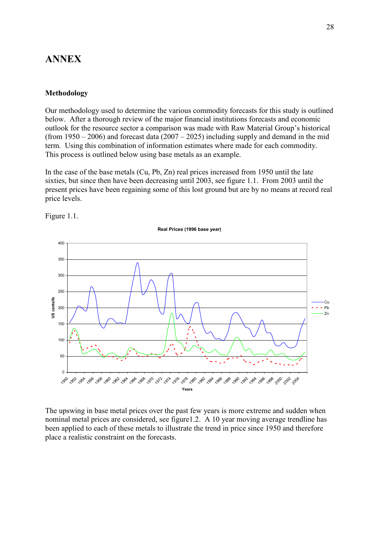## ANNEX

### Methodology

Our methodology used to determine the various commodity forecasts for this study is outlined below. After a thorough review of the major financial institutions forecasts and economic outlook for the resource sector a comparison was made with Raw Material Group's historical (from  $1950 - 2006$ ) and forecast data  $(2007 - 2025)$  including supply and demand in the mid term. Using this combination of information estimates where made for each commodity. This process is outlined below using base metals as an example.

In the case of the base metals (Cu, Pb, Zn) real prices increased from 1950 until the late sixties, but since then have been decreasing until 2003, see figure 1.1. From 2003 until the present prices have been regaining some of this lost ground but are by no means at record real price levels.



Figure 1.1.

The upswing in base metal prices over the past few years is more extreme and sudden when nominal metal prices are considered, see figure1.2. A 10 year moving average trendline has been applied to each of these metals to illustrate the trend in price since 1950 and therefore place a realistic constraint on the forecasts.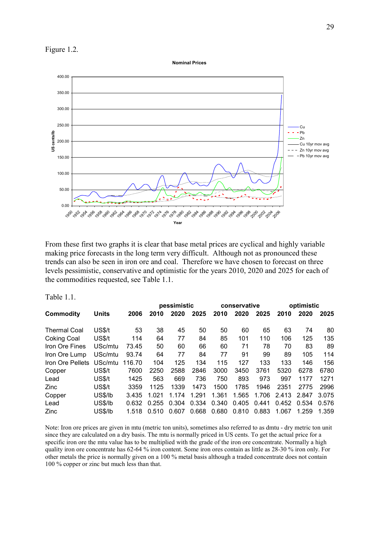Figure 1.2.

Nominal Prices



From these first two graphs it is clear that base metal prices are cyclical and highly variable making price forecasts in the long term very difficult. Although not as pronounced these trends can also be seen in iron ore and coal. Therefore we have chosen to forecast on three levels pessimistic, conservative and optimistic for the years 2010, 2020 and 2025 for each of the commodities requested, see Table 1.1.

Table 1.1

|                     |              |        |       | pessimistic |       |       | conservative |       |       | optimistic |       |
|---------------------|--------------|--------|-------|-------------|-------|-------|--------------|-------|-------|------------|-------|
| Commodity           | <b>Units</b> | 2006   | 2010  | 2020        | 2025  | 2010  | 2020         | 2025  | 2010  | 2020       | 2025  |
| <b>Thermal Coal</b> | US\$/t       | 53     | 38    | 45          | 50    | 50    | 60           | 65    | 63    | 74         | 80    |
| Coking Coal         | US\$/t       | 114    | 64    | 77          | 84    | 85    | 101          | 110   | 106   | 125        | 135   |
| Iron Ore Fines      | USc/mtu      | 73.45  | 50    | 60          | 66    | 60    | 71           | 78    | 70    | 83         | 89    |
| Iron Ore Lump       | USc/mtu      | 93.74  | 64    | 77          | 84    | 77    | 91           | 99    | 89    | 105        | 114   |
| Iron Ore Pellets    | USc/mtu      | 116.70 | 104   | 125         | 134   | 115   | 127          | 133   | 133   | 146        | 156   |
| Copper              | US\$/t       | 7600   | 2250  | 2588        | 2846  | 3000  | 3450         | 3761  | 5320  | 6278       | 6780  |
| Lead                | US\$/t       | 1425   | 563   | 669         | 736   | 750   | 893          | 973   | 997   | 1177       | 1271  |
| <b>Zinc</b>         | US\$/t       | 3359   | 1125  | 1339        | 1473  | 1500  | 1785         | 1946  | 2351  | 2775       | 2996  |
| Copper              | US\$/lb      | 3.435  | 1.021 | 1.174       | 1.291 | 1.361 | 1.565        | 1.706 | 2.413 | 2.847      | 3.075 |
| Lead                | US\$/lb      | 0.632  | 0.255 | 0.304       | 0.334 | 0.340 | 0.405        | 0.441 | 0.452 | 0.534      | 0.576 |
| Zinc                | US\$/lb      | 1.518  | 0.510 | 0.607       | 0.668 | 0.680 | 0.810        | 0.883 | 1.067 | 1.259      | 1.359 |

Note: Iron ore prices are given in mtu (metric ton units), sometimes also referred to as dmtu - dry metric ton unit since they are calculated on a dry basis. The mtu is normally priced in US cents. To get the actual price for a specific iron ore the mtu value has to be multiplied with the grade of the iron ore concentrate. Normally a high quality iron ore concentrate has 62-64 % iron content. Some iron ores contain as little as 28-30 % iron only. For other metals the price is normally given on a 100 % metal basis although a traded concentrate does not contain 100 % copper or zinc but much less than that.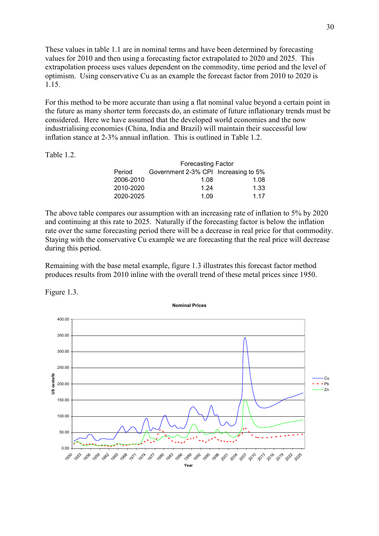These values in table 1.1 are in nominal terms and have been determined by forecasting values for 2010 and then using a forecasting factor extrapolated to 2020 and 2025. This extrapolation process uses values dependent on the commodity, time period and the level of optimism. Using conservative Cu as an example the forecast factor from 2010 to 2020 is 1.15.

For this method to be more accurate than using a flat nominal value beyond a certain point in the future as many shorter term forecasts do, an estimate of future inflationary trends must be considered. Here we have assumed that the developed world economies and the now industrialising economies (China, India and Brazil) will maintain their successful low inflation stance at 2-3% annual inflation. This is outlined in Table 1.2.

Table 1.2.

|           | <b>Forecasting Factor</b>            |      |  |  |  |  |  |  |
|-----------|--------------------------------------|------|--|--|--|--|--|--|
| Period    | Government 2-3% CPI Increasing to 5% |      |  |  |  |  |  |  |
| 2006-2010 | 1.08                                 | 1.08 |  |  |  |  |  |  |
| 2010-2020 | 1.24                                 | 1.33 |  |  |  |  |  |  |
| 2020-2025 | 1.09                                 | 1 17 |  |  |  |  |  |  |

The above table compares our assumption with an increasing rate of inflation to 5% by 2020 and continuing at this rate to 2025. Naturally if the forecasting factor is below the inflation rate over the same forecasting period there will be a decrease in real price for that commodity. Staying with the conservative Cu example we are forecasting that the real price will decrease during this period.

Remaining with the base metal example, figure 1.3 illustrates this forecast factor method produces results from 2010 inline with the overall trend of these metal prices since 1950.



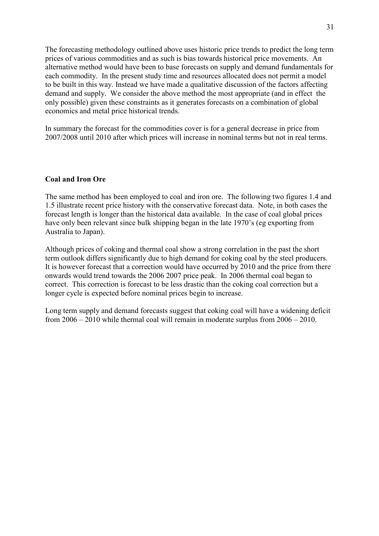The forecasting methodology outlined above uses historic price trends to predict the long term prices of various commodities and as such is bias towards historical price movements. An alternative method would have been to base forecasts on supply and demand fundamentals for each commodity. In the present study time and resources allocated does not permit a model to be built in this way. Instead we have made a qualitative discussion of the factors affecting demand and supply. We consider the above method the most appropriate (and in effect the only possible) given these constraints as it generates forecasts on a combination of global economics and metal price historical trends.

In summary the forecast for the commodities cover is for a general decrease in price from 2007/2008 until 2010 after which prices will increase in nominal terms but not in real terms.

### Coal and Iron Ore

The same method has been employed to coal and iron ore. The following two figures 1.4 and 1.5 illustrate recent price history with the conservative forecast data. Note, in both cases the forecast length is longer than the historical data available. In the case of coal global prices have only been relevant since bulk shipping began in the late 1970's (eg exporting from Australia to Japan).

Although prices of coking and thermal coal show a strong correlation in the past the short term outlook differs significantly due to high demand for coking coal by the steel producers. It is however forecast that a correction would have occurred by 2010 and the price from there onwards would trend towards the 2006 2007 price peak. In 2006 thermal coal began to correct. This correction is forecast to be less drastic than the coking coal correction but a longer cycle is expected before nominal prices begin to increase.

Long term supply and demand forecasts suggest that coking coal will have a widening deficit from 2006 – 2010 while thermal coal will remain in moderate surplus from 2006 – 2010.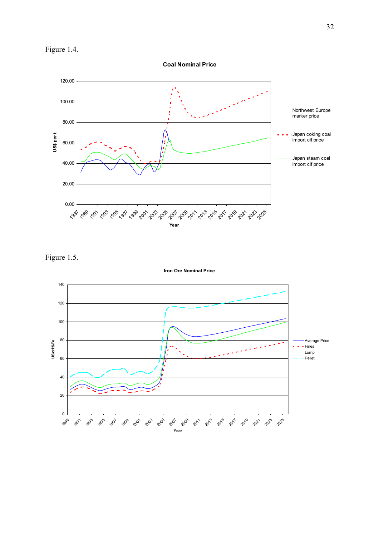

Coal Nominal Price



Figure 1.5.

Iron Ore Nominal Price